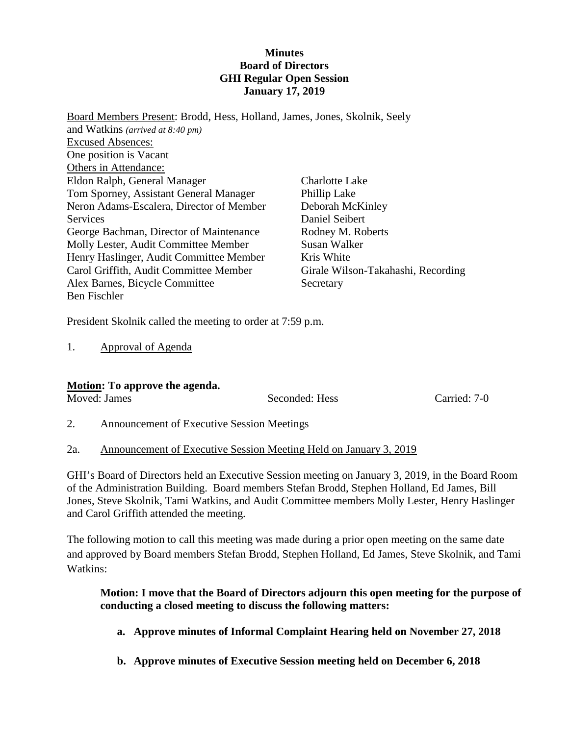#### **Minutes Board of Directors GHI Regular Open Session January 17, 2019**

Board Members Present: Brodd, Hess, Holland, James, Jones, Skolnik, Seely and Watkins *(arrived at 8:40 pm)* Excused Absences: One position is Vacant Others in Attendance: Eldon Ralph, General Manager Tom Sporney, Assistant General Manager Neron Adams-Escalera, Director of Member Services George Bachman, Director of Maintenance Molly Lester, Audit Committee Member Henry Haslinger, Audit Committee Member Carol Griffith, Audit Committee Member Alex Barnes, Bicycle Committee Ben Fischler Charlotte Lake Phillip Lake Deborah McKinley Daniel Seibert Rodney M. Roberts Susan Walker Kris White Girale Wilson-Takahashi, Recording Secretary

President Skolnik called the meeting to order at 7:59 p.m.

1. Approval of Agenda

#### **Motion: To approve the agenda.**

Moved: James Seconded: Hess Carried: 7-0

- 2. Announcement of Executive Session Meetings
- 2a. Announcement of Executive Session Meeting Held on January 3, 2019

GHI's Board of Directors held an Executive Session meeting on January 3, 2019, in the Board Room of the Administration Building. Board members Stefan Brodd, Stephen Holland, Ed James, Bill Jones, Steve Skolnik, Tami Watkins, and Audit Committee members Molly Lester, Henry Haslinger and Carol Griffith attended the meeting.

The following motion to call this meeting was made during a prior open meeting on the same date and approved by Board members Stefan Brodd, Stephen Holland, Ed James, Steve Skolnik, and Tami Watkins:

## **Motion: I move that the Board of Directors adjourn this open meeting for the purpose of conducting a closed meeting to discuss the following matters:**

- **a. Approve minutes of Informal Complaint Hearing held on November 27, 2018**
- **b. Approve minutes of Executive Session meeting held on December 6, 2018**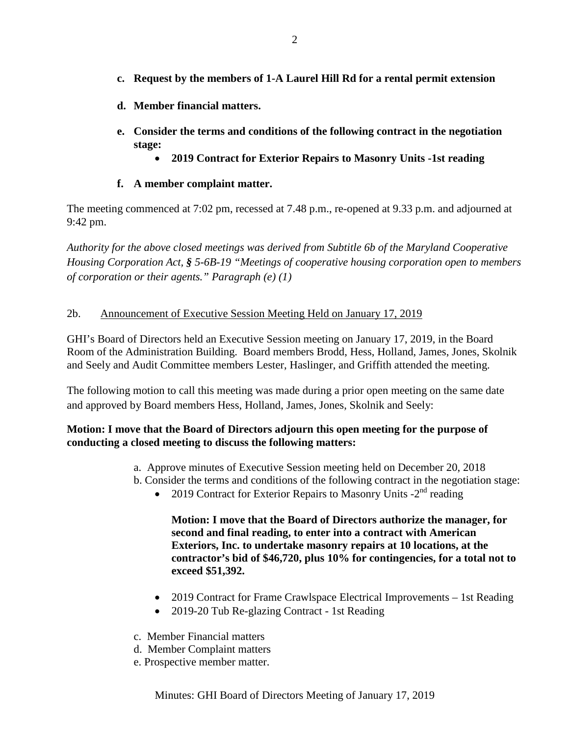- **c. Request by the members of 1-A Laurel Hill Rd for a rental permit extension**
- **d. Member financial matters.**
- **e. Consider the terms and conditions of the following contract in the negotiation stage:**
	- **2019 Contract for Exterior Repairs to Masonry Units -1st reading**
- **f. A member complaint matter.**

The meeting commenced at 7:02 pm, recessed at 7.48 p.m., re-opened at 9.33 p.m. and adjourned at 9:42 pm.

*Authority for the above closed meetings was derived from Subtitle 6b of the Maryland Cooperative Housing Corporation Act, § 5-6B-19 "Meetings of cooperative housing corporation open to members of corporation or their agents." Paragraph (e) (1)*

## 2b. Announcement of Executive Session Meeting Held on January 17, 2019

GHI's Board of Directors held an Executive Session meeting on January 17, 2019, in the Board Room of the Administration Building. Board members Brodd, Hess, Holland, James, Jones, Skolnik and Seely and Audit Committee members Lester, Haslinger, and Griffith attended the meeting.

The following motion to call this meeting was made during a prior open meeting on the same date and approved by Board members Hess, Holland, James, Jones, Skolnik and Seely:

## **Motion: I move that the Board of Directors adjourn this open meeting for the purpose of conducting a closed meeting to discuss the following matters:**

- a. Approve minutes of Executive Session meeting held on December 20, 2018
- b. Consider the terms and conditions of the following contract in the negotiation stage:
	- 2019 Contract for Exterior Repairs to Masonry Units  $-2<sup>nd</sup>$  reading

**Motion: I move that the Board of Directors authorize the manager, for second and final reading, to enter into a contract with American Exteriors, Inc. to undertake masonry repairs at 10 locations, at the contractor's bid of \$46,720, plus 10% for contingencies, for a total not to exceed \$51,392.**

- 2019 Contract for Frame Crawlspace Electrical Improvements 1st Reading
- 2019-20 Tub Re-glazing Contract 1st Reading
- c. Member Financial matters
- d. Member Complaint matters
- e. Prospective member matter.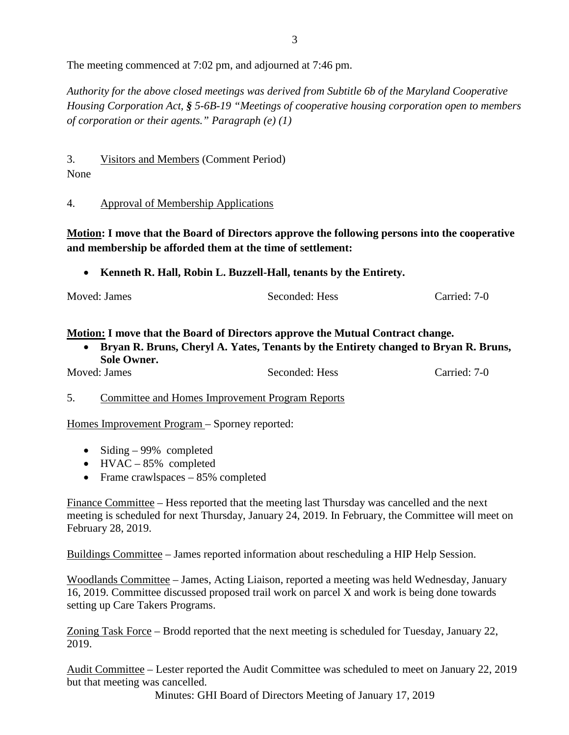The meeting commenced at 7:02 pm, and adjourned at 7:46 pm.

*Authority for the above closed meetings was derived from Subtitle 6b of the Maryland Cooperative Housing Corporation Act, § 5-6B-19 "Meetings of cooperative housing corporation open to members of corporation or their agents." Paragraph (e) (1)*

3. Visitors and Members (Comment Period)

# None

4. Approval of Membership Applications

**Motion: I move that the Board of Directors approve the following persons into the cooperative and membership be afforded them at the time of settlement:**

• **Kenneth R. Hall, Robin L. Buzzell-Hall, tenants by the Entirety.**

| Moved: James | Seconded: Hess | Carried: 7-0 |
|--------------|----------------|--------------|
|              |                |              |

# **Motion: I move that the Board of Directors approve the Mutual Contract change.**

• **Bryan R. Bruns, Cheryl A. Yates, Tenants by the Entirety changed to Bryan R. Bruns, Sole Owner.**

| Moved: James | Seconded: Hess | Carried: 7-0 |
|--------------|----------------|--------------|
|              |                |              |

5. Committee and Homes Improvement Program Reports

Homes Improvement Program – Sporney reported:

- Siding 99% completed
- HVAC 85% completed
- Frame crawlspaces 85% completed

Finance Committee – Hess reported that the meeting last Thursday was cancelled and the next meeting is scheduled for next Thursday, January 24, 2019. In February, the Committee will meet on February 28, 2019.

Buildings Committee – James reported information about rescheduling a HIP Help Session.

Woodlands Committee – James, Acting Liaison, reported a meeting was held Wednesday, January 16, 2019. Committee discussed proposed trail work on parcel X and work is being done towards setting up Care Takers Programs.

Zoning Task Force – Brodd reported that the next meeting is scheduled for Tuesday, January 22, 2019.

Audit Committee – Lester reported the Audit Committee was scheduled to meet on January 22, 2019 but that meeting was cancelled.

Minutes: GHI Board of Directors Meeting of January 17, 2019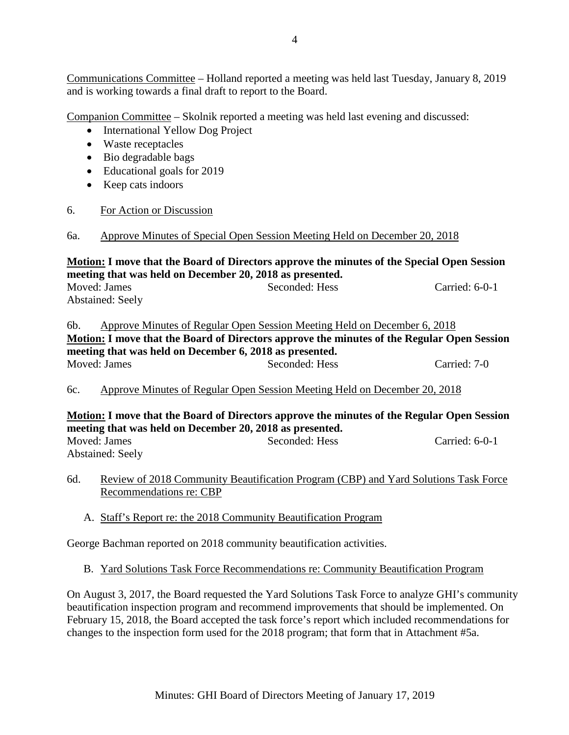Communications Committee – Holland reported a meeting was held last Tuesday, January 8, 2019 and is working towards a final draft to report to the Board.

Companion Committee – Skolnik reported a meeting was held last evening and discussed:

- International Yellow Dog Project
- Waste receptacles
- Bio degradable bags
- Educational goals for 2019
- Keep cats indoors

#### 6. For Action or Discussion

#### 6a. Approve Minutes of Special Open Session Meeting Held on December 20, 2018

**Motion: I move that the Board of Directors approve the minutes of the Special Open Session meeting that was held on December 20, 2018 as presented.** Moved: James Seconded: Hess Carried: 6-0-1 Abstained: Seely

6b. Approve Minutes of Regular Open Session Meeting Held on December 6, 2018 **Motion: I move that the Board of Directors approve the minutes of the Regular Open Session meeting that was held on December 6, 2018 as presented.** Moved: James Seconded: Hess Carried: 7-0

6c. Approve Minutes of Regular Open Session Meeting Held on December 20, 2018

# **Motion: I move that the Board of Directors approve the minutes of the Regular Open Session meeting that was held on December 20, 2018 as presented.**

Moved: James Seconded: Hess Carried: 6-0-1 Abstained: Seely

- 6d. Review of 2018 Community Beautification Program (CBP) and Yard Solutions Task Force Recommendations re: CBP
	- A. Staff's Report re: the 2018 Community Beautification Program

George Bachman reported on 2018 community beautification activities.

B. Yard Solutions Task Force Recommendations re: Community Beautification Program

On August 3, 2017, the Board requested the Yard Solutions Task Force to analyze GHI's community beautification inspection program and recommend improvements that should be implemented. On February 15, 2018, the Board accepted the task force's report which included recommendations for changes to the inspection form used for the 2018 program; that form that in Attachment #5a.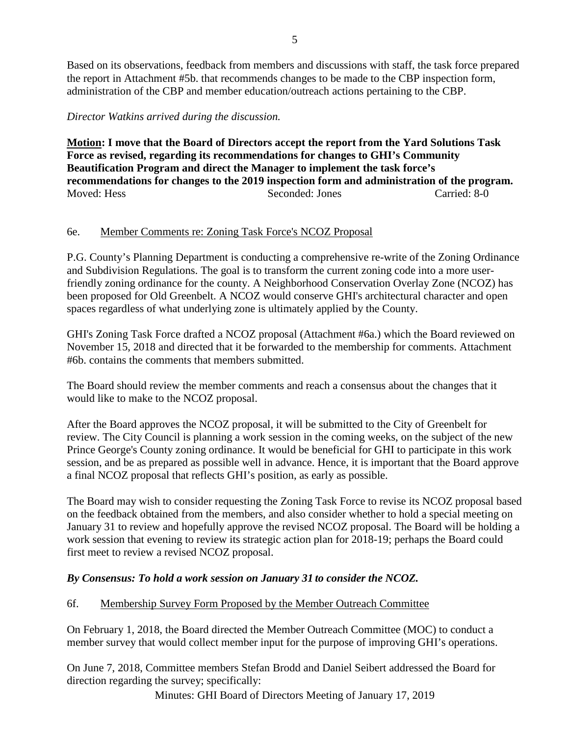Based on its observations, feedback from members and discussions with staff, the task force prepared the report in Attachment #5b. that recommends changes to be made to the CBP inspection form, administration of the CBP and member education/outreach actions pertaining to the CBP.

*Director Watkins arrived during the discussion.*

**Motion: I move that the Board of Directors accept the report from the Yard Solutions Task Force as revised, regarding its recommendations for changes to GHI's Community Beautification Program and direct the Manager to implement the task force's recommendations for changes to the 2019 inspection form and administration of the program.** Moved: Hess Seconded: Jones Carried: 8-0

## 6e. Member Comments re: Zoning Task Force's NCOZ Proposal

P.G. County's Planning Department is conducting a comprehensive re-write of the Zoning Ordinance and Subdivision Regulations. The goal is to transform the current zoning code into a more userfriendly zoning ordinance for the county. A Neighborhood Conservation Overlay Zone (NCOZ) has been proposed for Old Greenbelt. A NCOZ would conserve GHI's architectural character and open spaces regardless of what underlying zone is ultimately applied by the County.

GHI's Zoning Task Force drafted a NCOZ proposal (Attachment #6a.) which the Board reviewed on November 15, 2018 and directed that it be forwarded to the membership for comments. Attachment #6b. contains the comments that members submitted.

The Board should review the member comments and reach a consensus about the changes that it would like to make to the NCOZ proposal.

After the Board approves the NCOZ proposal, it will be submitted to the City of Greenbelt for review. The City Council is planning a work session in the coming weeks, on the subject of the new Prince George's County zoning ordinance. It would be beneficial for GHI to participate in this work session, and be as prepared as possible well in advance. Hence, it is important that the Board approve a final NCOZ proposal that reflects GHI's position, as early as possible.

The Board may wish to consider requesting the Zoning Task Force to revise its NCOZ proposal based on the feedback obtained from the members, and also consider whether to hold a special meeting on January 31 to review and hopefully approve the revised NCOZ proposal. The Board will be holding a work session that evening to review its strategic action plan for 2018-19; perhaps the Board could first meet to review a revised NCOZ proposal.

# *By Consensus: To hold a work session on January 31 to consider the NCOZ.*

## 6f. Membership Survey Form Proposed by the Member Outreach Committee

On February 1, 2018, the Board directed the Member Outreach Committee (MOC) to conduct a member survey that would collect member input for the purpose of improving GHI's operations.

On June 7, 2018, Committee members Stefan Brodd and Daniel Seibert addressed the Board for direction regarding the survey; specifically:

Minutes: GHI Board of Directors Meeting of January 17, 2019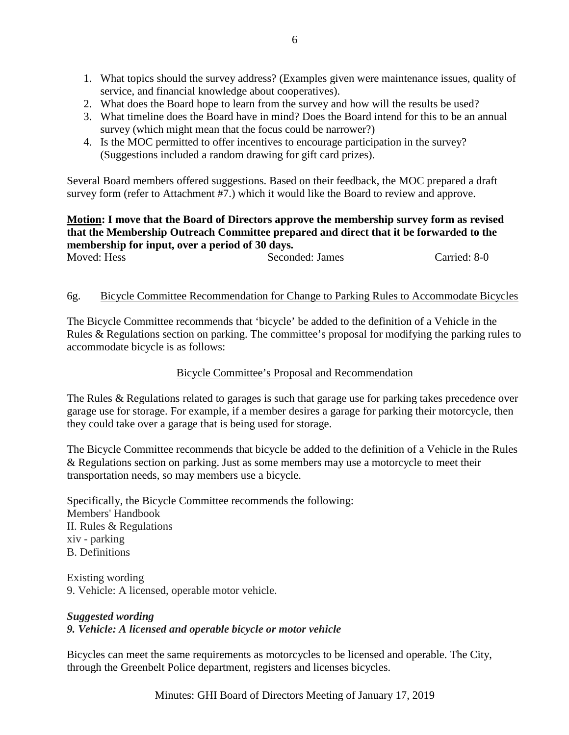- 1. What topics should the survey address? (Examples given were maintenance issues, quality of service, and financial knowledge about cooperatives).
- 2. What does the Board hope to learn from the survey and how will the results be used?
- 3. What timeline does the Board have in mind? Does the Board intend for this to be an annual survey (which might mean that the focus could be narrower?)
- 4. Is the MOC permitted to offer incentives to encourage participation in the survey? (Suggestions included a random drawing for gift card prizes).

Several Board members offered suggestions. Based on their feedback, the MOC prepared a draft survey form (refer to Attachment #7.) which it would like the Board to review and approve.

#### **Motion: I move that the Board of Directors approve the membership survey form as revised that the Membership Outreach Committee prepared and direct that it be forwarded to the membership for input, over a period of 30 days.** Moved: Hess Seconded: James Carried: 8-0

# 6g. Bicycle Committee Recommendation for Change to Parking Rules to Accommodate Bicycles

The Bicycle Committee recommends that 'bicycle' be added to the definition of a Vehicle in the Rules & Regulations section on parking. The committee's proposal for modifying the parking rules to accommodate bicycle is as follows:

## Bicycle Committee's Proposal and Recommendation

The Rules & Regulations related to garages is such that garage use for parking takes precedence over garage use for storage. For example, if a member desires a garage for parking their motorcycle, then they could take over a garage that is being used for storage.

The Bicycle Committee recommends that bicycle be added to the definition of a Vehicle in the Rules & Regulations section on parking. Just as some members may use a motorcycle to meet their transportation needs, so may members use a bicycle.

Specifically, the Bicycle Committee recommends the following: Members' Handbook II. Rules & Regulations xiv - parking B. Definitions

Existing wording 9. Vehicle: A licensed, operable motor vehicle.

#### *Suggested wording 9. Vehicle: A licensed and operable bicycle or motor vehicle*

Bicycles can meet the same requirements as motorcycles to be licensed and operable. The City, through the Greenbelt Police department, registers and licenses bicycles.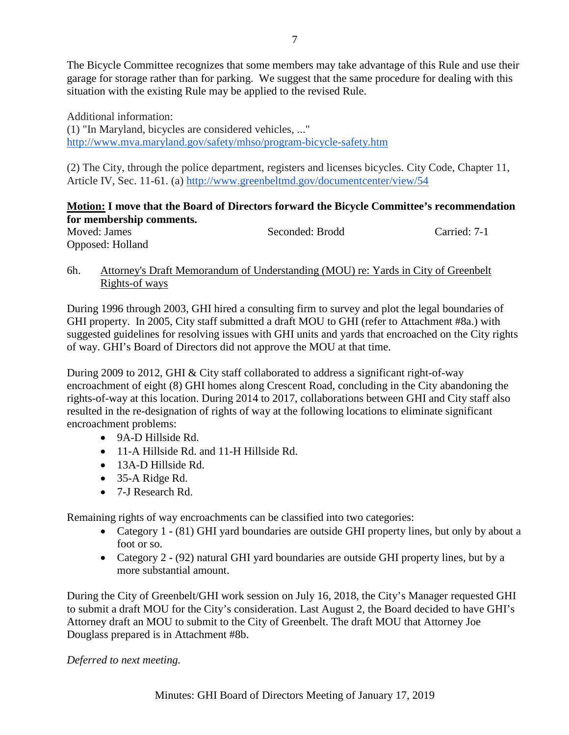The Bicycle Committee recognizes that some members may take advantage of this Rule and use their garage for storage rather than for parking. We suggest that the same procedure for dealing with this situation with the existing Rule may be applied to the revised Rule.

Additional information: (1) "In Maryland, bicycles are considered vehicles, ..." <http://www.mva.maryland.gov/safety/mhso/program-bicycle-safety.htm>

(2) The City, through the police department, registers and licenses bicycles. City Code, Chapter 11, Article IV, Sec. 11-61. (a)<http://www.greenbeltmd.gov/documentcenter/view/54>

## **Motion: I move that the Board of Directors forward the Bicycle Committee's recommendation for membership comments.**

| $101$ $101$ $101$ $101$ $101$ $101$ $101$ |                 |              |
|-------------------------------------------|-----------------|--------------|
| Moved: James                              | Seconded: Brodd | Carried: 7-1 |
| Opposed: Holland                          |                 |              |

## 6h. Attorney's Draft Memorandum of Understanding (MOU) re: Yards in City of Greenbelt Rights-of ways

During 1996 through 2003, GHI hired a consulting firm to survey and plot the legal boundaries of GHI property. In 2005, City staff submitted a draft MOU to GHI (refer to Attachment #8a.) with suggested guidelines for resolving issues with GHI units and yards that encroached on the City rights of way. GHI's Board of Directors did not approve the MOU at that time.

During 2009 to 2012, GHI & City staff collaborated to address a significant right-of-way encroachment of eight (8) GHI homes along Crescent Road, concluding in the City abandoning the rights-of-way at this location. During 2014 to 2017, collaborations between GHI and City staff also resulted in the re-designation of rights of way at the following locations to eliminate significant encroachment problems:

- 9A-D Hillside Rd.
- 11-A Hillside Rd. and 11-H Hillside Rd.
- 13A-D Hillside Rd.
- 35-A Ridge Rd.
- 7-J Research Rd.

Remaining rights of way encroachments can be classified into two categories:

- Category 1 **-** (81) GHI yard boundaries are outside GHI property lines, but only by about a foot or so.
- Category 2 **-** (92) natural GHI yard boundaries are outside GHI property lines, but by a more substantial amount.

During the City of Greenbelt/GHI work session on July 16, 2018, the City's Manager requested GHI to submit a draft MOU for the City's consideration. Last August 2, the Board decided to have GHI's Attorney draft an MOU to submit to the City of Greenbelt. The draft MOU that Attorney Joe Douglass prepared is in Attachment #8b.

## *Deferred to next meeting.*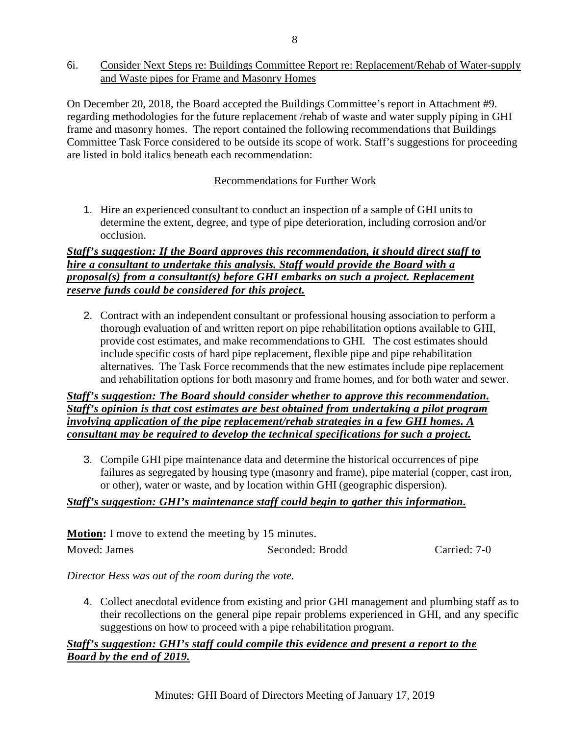6i. Consider Next Steps re: Buildings Committee Report re: Replacement/Rehab of Water-supply and Waste pipes for Frame and Masonry Homes

On December 20, 2018, the Board accepted the Buildings Committee's report in Attachment #9. regarding methodologies for the future replacement /rehab of waste and water supply piping in GHI frame and masonry homes. The report contained the following recommendations that Buildings Committee Task Force considered to be outside its scope of work. Staff's suggestions for proceeding are listed in bold italics beneath each recommendation:

## Recommendations for Further Work

1. Hire an experienced consultant to conduct an inspection of a sample of GHI units to determine the extent, degree, and type of pipe deterioration, including corrosion and/or occlusion.

#### *Staff's suggestion: If the Board approves this recommendation, it should direct staff to hire a consultant to undertake this analysis. Staff would provide the Board with a proposal(s) from a consultant(s) before GHI embarks on such a project. Replacement reserve funds could be considered for this project.*

2. Contract with an independent consultant or professional housing association to perform a thorough evaluation of and written report on pipe rehabilitation options available to GHI, provide cost estimates, and make recommendationsto GHI. The cost estimates should include specific costs of hard pipe replacement, flexible pipe and pipe rehabilitation alternatives. The Task Force recommends that the new estimates include pipe replacement and rehabilitation options for both masonry and frame homes, and for both water and sewer.

*Staff's suggestion: The Board should consider whether to approve this recommendation. Staff's opinion is that cost estimates are best obtained from undertaking a pilot program involving application of the pipe replacement/rehab strategies in a few GHI homes. A consultant may be required to develop the technical specifications for such a project.*

3. Compile GHI pipe maintenance data and determine the historical occurrences of pipe failures as segregated by housing type (masonry and frame), pipe material (copper, cast iron, or other), water or waste, and by location within GHI (geographic dispersion).

## *Staff's suggestion: GHI's maintenance staff could begin to gather this information.*

| <b>Motion:</b> I move to extend the meeting by 15 minutes. |                 |              |  |  |
|------------------------------------------------------------|-----------------|--------------|--|--|
| Moved: James                                               | Seconded: Brodd | Carried: 7-0 |  |  |

#### *Director Hess was out of the room during the vote.*

4. Collect anecdotal evidence from existing and prior GHI management and plumbing staff as to their recollections on the general pipe repair problems experienced in GHI, and any specific suggestions on how to proceed with a pipe rehabilitation program.

# *Staff's suggestion: GHI's staff could compile this evidence and present a report to the Board by the end of 2019.*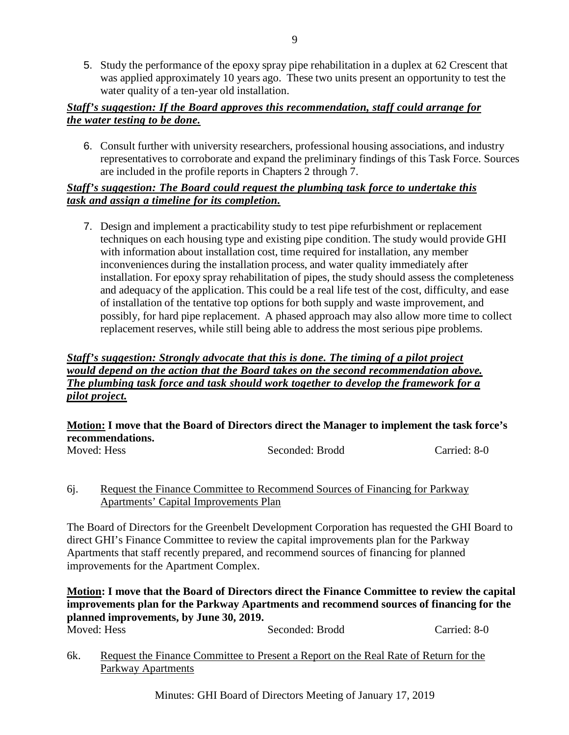5. Study the performance of the epoxy spray pipe rehabilitation in a duplex at 62 Crescent that was applied approximately 10 years ago. These two units present an opportunity to test the water quality of a ten-year old installation.

## *Staff's suggestion: If the Board approves this recommendation, staff could arrange for the water testing to be done.*

6. Consult further with university researchers, professional housing associations, and industry representatives to corroborate and expand the preliminary findings of this Task Force. Sources are included in the profile reports in Chapters 2 through 7.

## *Staff's suggestion: The Board could request the plumbing task force to undertake this task and assign a timeline for its completion.*

7. Design and implement a practicability study to test pipe refurbishment or replacement techniques on each housing type and existing pipe condition. The study would provide GHI with information about installation cost, time required for installation, any member inconveniences during the installation process, and water quality immediately after installation. For epoxy spray rehabilitation of pipes, the study should assess the completeness and adequacy of the application. This could be a real life test of the cost, difficulty, and ease of installation of the tentative top options for both supply and waste improvement, and possibly, for hard pipe replacement. A phased approach may also allow more time to collect replacement reserves, while still being able to address the most serious pipe problems.

#### *Staff's suggestion: Strongly advocate that this is done. The timing of a pilot project would depend on the action that the Board takes on the second recommendation above. The plumbing task force and task should work together to develop the framework for a pilot project.*

# **Motion: I move that the Board of Directors direct the Manager to implement the task force's recommendations.**

| ---------------------- |                 |              |
|------------------------|-----------------|--------------|
| Moved: Hess            | Seconded: Brodd | Carried: 8-0 |

#### 6j. Request the Finance Committee to Recommend Sources of Financing for Parkway Apartments' Capital Improvements Plan

The Board of Directors for the Greenbelt Development Corporation has requested the GHI Board to direct GHI's Finance Committee to review the capital improvements plan for the Parkway Apartments that staff recently prepared, and recommend sources of financing for planned improvements for the Apartment Complex.

**Motion: I move that the Board of Directors direct the Finance Committee to review the capital improvements plan for the Parkway Apartments and recommend sources of financing for the planned improvements, by June 30, 2019.** Seconded: Brodd Carried: 8-0

6k. Request the Finance Committee to Present a Report on the Real Rate of Return for the Parkway Apartments

Minutes: GHI Board of Directors Meeting of January 17, 2019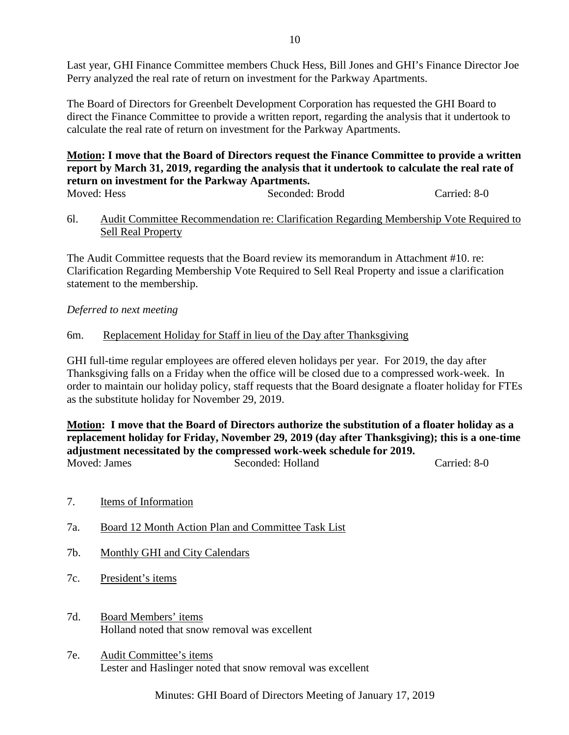Last year, GHI Finance Committee members Chuck Hess, Bill Jones and GHI's Finance Director Joe Perry analyzed the real rate of return on investment for the Parkway Apartments.

The Board of Directors for Greenbelt Development Corporation has requested the GHI Board to direct the Finance Committee to provide a written report, regarding the analysis that it undertook to calculate the real rate of return on investment for the Parkway Apartments.

#### **Motion: I move that the Board of Directors request the Finance Committee to provide a written report by March 31, 2019, regarding the analysis that it undertook to calculate the real rate of return on investment for the Parkway Apartments.** Moved: Hess Seconded: Brodd Carried: 8-0

# 6l. Audit Committee Recommendation re: Clarification Regarding Membership Vote Required to Sell Real Property

The Audit Committee requests that the Board review its memorandum in Attachment #10. re: Clarification Regarding Membership Vote Required to Sell Real Property and issue a clarification statement to the membership.

## *Deferred to next meeting*

# 6m. Replacement Holiday for Staff in lieu of the Day after Thanksgiving

GHI full-time regular employees are offered eleven holidays per year. For 2019, the day after Thanksgiving falls on a Friday when the office will be closed due to a compressed work-week. In order to maintain our holiday policy, staff requests that the Board designate a floater holiday for FTEs as the substitute holiday for November 29, 2019.

**Motion: I move that the Board of Directors authorize the substitution of a floater holiday as a replacement holiday for Friday, November 29, 2019 (day after Thanksgiving); this is a one-time adjustment necessitated by the compressed work-week schedule for 2019.** Moved: James Seconded: Holland Carried: 8-0

- 7. Items of Information
- 7a. Board 12 Month Action Plan and Committee Task List
- 7b. Monthly GHI and City Calendars
- 7c. President's items
- 7d. Board Members' items Holland noted that snow removal was excellent
- 7e. Audit Committee's items Lester and Haslinger noted that snow removal was excellent